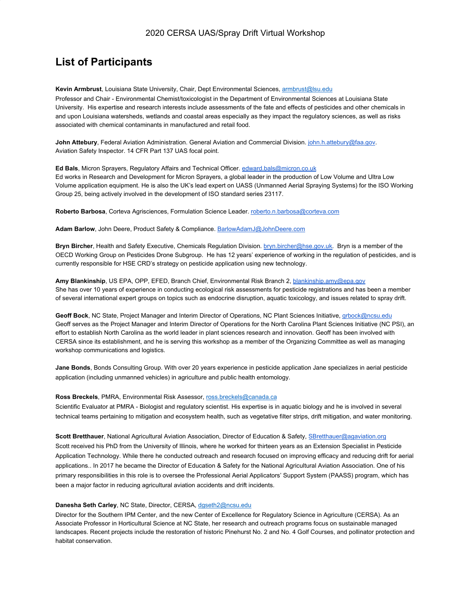# **List of Participants**

**Kevin Armbrust**, Louisiana State University, Chair, Dept Environmental Sciences, armbrust@lsu.edu

Professor and Chair - Environmental Chemist/toxicologist in the Department of Environmental Sciences at Louisiana State University. His expertise and research interests include assessments of the fate and effects of pesticides and other chemicals in and upon Louisiana watersheds, wetlands and coastal areas especially as they impact the regulatory sciences, as well as risks associated with chemical contaminants in manufactured and retail food.

**John Attebury**, Federal Aviation Administration. General Aviation and Commercial Division. [john.h.attebury@faa.gov](mailto:john.h.attebury@faa.gov). Aviation Safety Inspector. 14 CFR Part 137 UAS focal point.

**Ed Bals**, Micron Sprayers, Regulatory Affairs and Technical Officer. [edward.bals@micron.co.uk](mailto:edward.bals@micron.co.uk) Ed works in Research and Development for Micron Sprayers, a global leader in the production of Low Volume and Ultra Low Volume application equipment. He is also the UK's lead expert on UASS (Unmanned Aerial Spraying Systems) for the ISO Working Group 25, being actively involved in the development of ISO standard series 23117.

**Roberto Barbosa**, Corteva Agrisciences, Formulation Science Leader. [roberto.n.barbosa@corteva.com](mailto:roberto.n.barbosa@corteva.com)

**Adam Barlow**, John Deere, Product Safety & Compliance. [BarlowAdamJ@JohnDeere.com](mailto:BarlowAdamJ@JohnDeere.com)

**Bryn Bircher**, Health and Safety Executive, Chemicals Regulation Division. [bryn.bircher@hse.gov.uk](mailto:bryn.bircher@hse.gov.uk). Bryn is a member of the OECD Working Group on Pesticides Drone Subgroup. He has 12 years' experience of working in the regulation of pesticides, and is currently responsible for HSE CRD's strategy on pesticide application using new technology.

**Amy Blankinship**, US EPA, OPP, EFED, Branch Chief, Environmental Risk Branch 2, [blankinship.amy@epa.gov](mailto:blankinship.amy@epa.gov) She has over 10 years of experience in conducting ecological risk assessments for pesticide registrations and has been a member of several international expert groups on topics such as endocrine disruption, aquatic toxicology, and issues related to spray drift.

**Geoff Bock**, NC State, Project Manager and Interim Director of Operations, NC Plant Sciences Initiative, [grbock@ncsu.edu](mailto:grbock@ncsu.edu) Geoff serves as the Project Manager and Interim Director of Operations for the North Carolina Plant Sciences Initiative (NC PSI), an effort to establish North Carolina as the world leader in plant sciences research and innovation. Geoff has been involved with CERSA since its establishment, and he is serving this workshop as a member of the Organizing Committee as well as managing workshop communications and logistics.

**Jane Bonds**, Bonds Consulting Group. With over 20 years experience in pesticide application Jane specializes in aerial pesticide application (including unmanned vehicles) in agriculture and public health entomology.

### **Ross Breckels**, PMRA, Environmental Risk Assessor, ross.breckels@canada.ca

Scientific Evaluator at PMRA - Biologist and regulatory scientist. His expertise is in aquatic biology and he is involved in several technical teams pertaining to mitigation and ecosystem health, such as vegetative filter strips, drift mitigation, and water monitoring.

**Scott Bretthauer**, National Agricultural Aviation Association, Director of Education & Safety, [SBretthauer@agaviation.org](mailto:SBretthauer@agaviation.org) Scott received his PhD from the University of Illinois, where he worked for thirteen years as an Extension Specialist in Pesticide Application Technology. While there he conducted outreach and research focused on improving efficacy and reducing drift for aerial applications.. In 2017 he became the Director of Education & Safety for the National Agricultural Aviation Association. One of his primary responsibilities in this role is to oversee the Professional Aerial Applicators' Support System (PAASS) program, which has been a major factor in reducing agricultural aviation accidents and drift incidents.

### **Danesha Seth Carley**, NC State, Director, CERSA, dgseth2@ncsu.edu

Director for the Southern IPM Center, and the new Center of Excellence for Regulatory Science in Agriculture (CERSA). As an Associate Professor in Horticultural Science at NC State, her research and outreach programs focus on sustainable managed landscapes. Recent projects include the restoration of historic Pinehurst No. 2 and No. 4 Golf Courses, and pollinator protection and habitat conservation.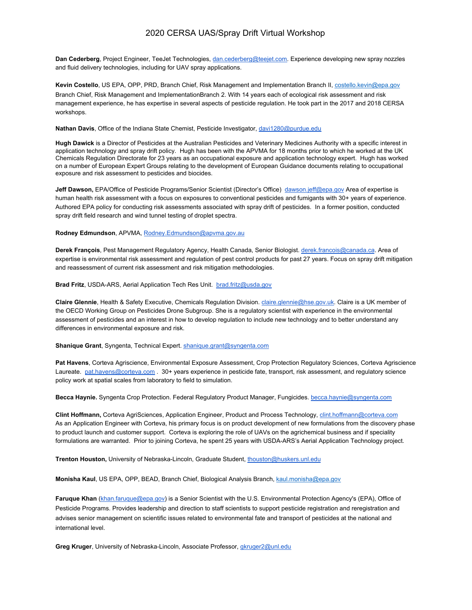**Dan Cederberg**, Project Engineer, TeeJet Technologies, [dan.cederberg@teejet.com.](mailto:dan.cederberg@teejet.com) Experience developing new spray nozzles and fluid delivery technologies, including for UAV spray applications.

**Kevin Costello**, US EPA, OPP, PRD, Branch Chief, Risk Management and Implementation Branch II, costello.kevin@epa.gov Branch Chief, Risk Management and ImplementationBranch 2. With 14 years each of ecological risk assessment and risk management experience, he has expertise in several aspects of pesticide regulation. He took part in the 2017 and 2018 CERSA workshops.

#### **Nathan Davis**, Office of the Indiana State Chemist, Pesticide Investigator, [davi1280@purdue.edu](mailto:davi1280@purdue.edu)

**Hugh Dawick** is a Director of Pesticides at the Australian Pesticides and Veterinary Medicines Authority with a specific interest in application technology and spray drift policy. Hugh has been with the APVMA for 18 months prior to which he worked at the UK Chemicals Regulation Directorate for 23 years as an occupational exposure and application technology expert. Hugh has worked on a number of European Expert Groups relating to the development of European Guidance documents relating to occupational exposure and risk assessment to pesticides and biocides.

**Jeff Dawson,** EPA/Office of Pesticide Programs/Senior Scientist (Director's Office) [dawson.jeff@epa.gov](mailto:dawson.jeff@epa.gov) Area of expertise is human health risk assessment with a focus on exposures to conventional pesticides and fumigants with 30+ years of experience. Authored EPA policy for conducting risk assessments associated with spray drift of pesticides. In a former position, conducted spray drift field research and wind tunnel testing of droplet spectra.

#### **Rodney Edmundson**, APVMA, [Rodney.Edmundson@apvma.gov.au](mailto:Rodney.Edmundson@apvma.gov.au)

**Derek François**, Pest Management Regulatory Agency, Health Canada, Senior Biologist. [derek.francois@canada.ca](mailto:derek.francois@canada.ca). Area of expertise is environmental risk assessment and regulation of pest control products for past 27 years. Focus on spray drift mitigation and reassessment of current risk assessment and risk mitigation methodologies.

**Brad Fritz**, USDA-ARS, Aerial Application Tech Res Unit. [brad.fritz@usda.gov](mailto:brad.fritz@usda.gov)

**Claire Glennie**, Health & Safety Executive, Chemicals Regulation Division. [claire.glennie@hse.gov.uk.](mailto:claire.glennie@hse.gov.uk) Claire is a UK member of the OECD Working Group on Pesticides Drone Subgroup. She is a regulatory scientist with experience in the environmental assessment of pesticides and an interest in how to develop regulation to include new technology and to better understand any differences in environmental exposure and risk.

#### **Shanique Grant**, Syngenta, Technical Expert. [shanique.grant@syngenta.com](mailto:shanique.grant@syngenta.com)

**Pat Havens**, Corteva Agriscience, Environmental Exposure Assessment, Crop Protection Regulatory Sciences, Corteva Agriscience Laureate. [pat.havens@corteva.com](mailto:pat.havens@corteva.com) . 30+ years experience in pesticide fate, transport, risk assessment, and regulatory science policy work at spatial scales from laboratory to field to simulation.

**Becca Haynie.** Syngenta Crop Protection. Federal Regulatory Product Manager, Fungicides. [becca.haynie@syngenta.com](mailto:becca.haynie@syngenta.com)

**Clint Hoffmann,** Corteva AgriSciences, Application Engineer, Product and Process Technology, [clint.hoffmann@corteva.com](mailto:clint.hoffmann@corteva.com) As an Application Engineer with Corteva, his primary focus is on product development of new formulations from the discovery phase to product launch and customer support. Corteva is exploring the role of UAVs on the agrichemical business and if speciality formulations are warranted. Prior to joining Corteva, he spent 25 years with USDA-ARS's Aerial Application Technology project.

**Trenton Houston,** University of Nebraska-Lincoln, Graduate Student, [thouston@huskers.unl.edu](mailto:thouston@huskers.unl.edu)

**Monisha Kaul**, US EPA, OPP, BEAD, Branch Chief, Biological Analysis Branch, kaul.monisha@epa.gov

**Faruque Khan** [\(khan.faruque@epa.gov\)](mailto:khan.faruque@epa.gov) is a Senior Scientist with the U.S. Environmental Protection Agency's (EPA), Office of Pesticide Programs. Provides leadership and direction to staff scientists to support pesticide registration and reregistration and advises senior management on scientific issues related to environmental fate and transport of pesticides at the national and international level.

**Greg Kruger**, University of Nebraska-Lincoln, Associate Professor, [gkruger2@unl.edu](mailto:gkruger2@unl.edu)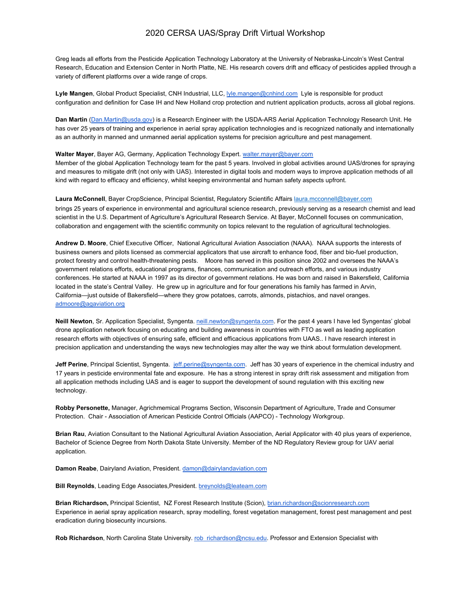Greg leads all efforts from the Pesticide Application Technology Laboratory at the University of Nebraska-Lincoln's West Central Research, Education and Extension Center in North Platte, NE. His research covers drift and efficacy of pesticides applied through a variety of different platforms over a wide range of crops.

**Lyle Mangen**, Global Product Specialist, CNH Industrial, LLC, [lyle.mangen@cnhind.com](mailto:lyle.mangen@cnhind.com) Lyle is responsible for product configuration and definition for Case IH and New Holland crop protection and nutrient application products, across all global regions.

**Dan Martin** [\(Dan.Martin@usda.gov\)](mailto:Dan.Martin@usda.gov) is a Research Engineer with the USDA-ARS Aerial Application Technology Research Unit. He has over 25 years of training and experience in aerial spray application technologies and is recognized nationally and internationally as an authority in manned and unmanned aerial application systems for precision agriculture and pest management.

**Walter Mayer**, Bayer AG, Germany, Application Technology Expert. [walter.mayer@bayer.com](mailto:walter.mayer@bayer.com)

Member of the global Application Technology team for the past 5 years. Involved in global activities around UAS/drones for spraying and measures to mitigate drift (not only with UAS). Interested in digital tools and modern ways to improve application methods of all kind with regard to efficacy and efficiency, whilst keeping environmental and human safety aspects upfront.

**Laura McConnell**, Bayer CropScience, Principal Scientist, Regulatory Scientific Affairs laura.mcconnell@bayer.com brings 25 years of experience in environmental and agricultural science research, previously serving as a research chemist and lead scientist in the U.S. Department of Agriculture's Agricultural Research Service. At Bayer, McConnell focuses on communication, collaboration and engagement with the scientific community on topics relevant to the regulation of agricultural technologies.

**Andrew D. Moore**, Chief Executive Officer, National Agricultural Aviation Association (NAAA). NAAA supports the interests of business owners and pilots licensed as commercial applicators that use aircraft to enhance food, fiber and bio-fuel production, protect forestry and control health-threatening pests. Moore has served in this position since 2002 and oversees the NAAA's government relations efforts, educational programs, finances, communication and outreach efforts, and various industry conferences. He started at NAAA in 1997 as its director of government relations. He was born and raised in Bakersfield, California located in the state's Central Valley. He grew up in agriculture and for four generations his family has farmed in Arvin, California—just outside of Bakersfield—where they grow potatoes, carrots, almonds, pistachios, and navel oranges. [admoore@agaviation.org](mailto:oranges.admoore@agaviation.org)

**Neill Newton**, Sr. Application Specialist, Syngenta. [neill.newton@syngenta.com](mailto:neill.newton@syngenta.com). For the past 4 years I have led Syngentas' global drone application network focusing on educating and building awareness in countries with FTO as well as leading application research efforts with objectives of ensuring safe, efficient and efficacious applications from UAAS.. I have research interest in precision application and understanding the ways new technologies may alter the way we think about formulation development.

**Jeff Perine**, Principal Scientist, Syngenta. [jeff.perine@syngenta.com](mailto:jeff.perine@syngenta.com). Jeff has 30 years of experience in the chemical industry and 17 years in pesticide environmental fate and exposure. He has a strong interest in spray drift risk assessment and mitigation from all application methods including UAS and is eager to support the development of sound regulation with this exciting new technology.

**Robby Personette,** Manager, Agrichmemical Programs Section, Wisconsin Department of Agriculture, Trade and Consumer Protection. Chair - Association of American Pesticide Control Officials (AAPCO) - Technology Workgroup.

**Brian Rau**, Aviation Consultant to the National Agricultural Aviation Association, Aerial Applicator with 40 plus years of experience, Bachelor of Science Degree from North Dakota State University. Member of the ND Regulatory Review group for UAV aerial application.

**Damon Reabe**, Dairyland Aviation, President. [damon@dairylandaviation.com](mailto:damon@dairylandaviation.com)

**Bill Reynolds**, Leading Edge Associates,President. [breynolds@leateam.com](mailto:breynolds@leateam.com)

**Brian Richardson,** Principal Scientist, NZ Forest Research Institute (Scion), [brian.richardson@scionresearch.com](mailto:brian.richardson@scionresearch.com) Experience in aerial spray application research, spray modelling, forest vegetation management, forest pest management and pest eradication during biosecurity incursions.

**Rob Richardson**, North Carolina State University. [rob\\_richardson@ncsu.edu](mailto:rob_richardson@ncsu.edu). Professor and Extension Specialist with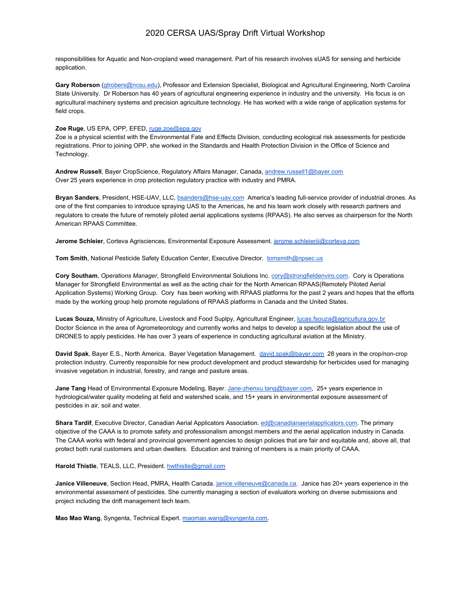responsibilities for Aquatic and Non-cropland weed management. Part of his research involves sUAS for sensing and herbicide application.

**Gary Roberson** [\(gtrobers@ncsu.edu\)](mailto:gtrobers@ncsu.edu), Professor and Extension Specialist, Biological and Agricultural Engineering, North Carolina State University. Dr Roberson has 40 years of agricultural engineering experience in industry and the university. His focus is on agricultural machinery systems and precision agriculture technology. He has worked with a wide range of application systems for field crops.

### **Zoe Ruge**, US EPA, OPP, EFED, [ruge.zoe@epa.gov](mailto:ruge.zoe@epa.gov)

Zoe is a physical scientist with the Environmental Fate and Effects Division, conducting ecological risk assessments for pesticide registrations. Prior to joining OPP, she worked in the Standards and Health Protection Division in the Office of Science and Technology.

**Andrew Russell**, Bayer CropScience, Regulatory Affairs Manager, Canada, [andrew.russell1@bayer.com](mailto:andrew.russell1@bayer.com) Over 25 years experience in crop protection regulatory practice with industry and PMRA.

**Bryan Sanders**, President, HSE-UAV, LLC, [bsanders@hse-uav.com](mailto:bsanders@hse-uav.com) America's leading full-service provider of industrial drones. As one of the first companies to introduce spraying UAS to the Americas, he and his team work closely with research partners and regulators to create the future of remotely piloted aerial applications systems (RPAAS). He also serves as chairperson for the North American RPAAS Committee.

**Jerome Schleier**, Corteva Agrisciences, Environmental Exposure Assessment. [jerome.schleieriii@corteva.com](mailto:jerome.schleieriii@corteva.com)

**Tom Smith**, National Pesticide Safety Education Center, Executive Director. [tomsmith@npsec.us](mailto:tomsmith@npsec.us)

**Cory Southam**, *Operations Manager*, Strongfield Environmental Solutions Inc. [cory@strongfieldenviro.com.](mailto:cory@strongfieldenviro.com) Cory is Operations Manager for Strongfield Environmental as well as the acting chair for the North American RPAAS(Remotely Piloted Aerial Application Systems) Working Group. Cory has been working with RPAAS platforms for the past 2 years and hopes that the efforts made by the working group help promote regulations of RPAAS platforms in Canada and the United States.

**Lucas Souza,** Ministry of Agriculture, Livestock and Food Suplpy, Agricultural Engineer, [lucas.fsouza@agricultura.gov.br](mailto:lucas.fsouza@agricultura.gov.br) Doctor Science in the area of Agrometeorology and currently works and helps to develop a specific legislation about the use of DRONES to apply pesticides. He has over 3 years of experience in conducting agricultural aviation at the Ministry.

**David Spak**, Bayer E.S., North America, Bayer Vegetation Management. [david.spak@bayer.com](mailto:david.spak@bayer.com) 28 years in the crop/non-crop protection industry. Currently responsible for new product development and product stewardship for herbicides used for managing invasive vegetation in industrial, forestry, and range and pasture areas.

**Jane Tang** Head of Environmental Exposure Modeling, Bayer. [Jane-zhenxu.tang@bayer.com](mailto:Jane-zhenxu.tang@bayer.com), 25+ years experience in hydrological/water quality modeling at field and watershed scale, and 15+ years in environmental exposure assessment of pesticides in air, soil and water.

**Shara Tardif**, Executive Director, Canadian Aerial Applicators Association. [ed@canadianaerialapplicators.com.](mailto:ed@canadianaerialapplicators.com) The primary objective of the CAAA is to promote safety and professionalism amongst members and the aerial application industry in Canada. The CAAA works with federal and provincial government agencies to design policies that are fair and equitable and, above all, that protect both rural customers and urban dwellers. Education and training of members is a main priority of CAAA.

### Harold Thistle, TEALS, LLC, President. [hwthistle@gmail.com](mailto:hwthistle@gmail.com)

**Janice Villeneuve**, Section Head, PMRA, Health Canada. [janice.villeneuve@canada.ca.](mailto:janice.villeneuve@canada.ca) Janice has 20+ years experience in the environmental assessment of pesticides. She currently managing a section of evaluators working on diverse submissions and project including the drift management tech team.

**Mao Mao Wang**, Syngenta, Technical Expert. [maomao.wang@syngenta.com](mailto:maomao.wang@syngenta.com).